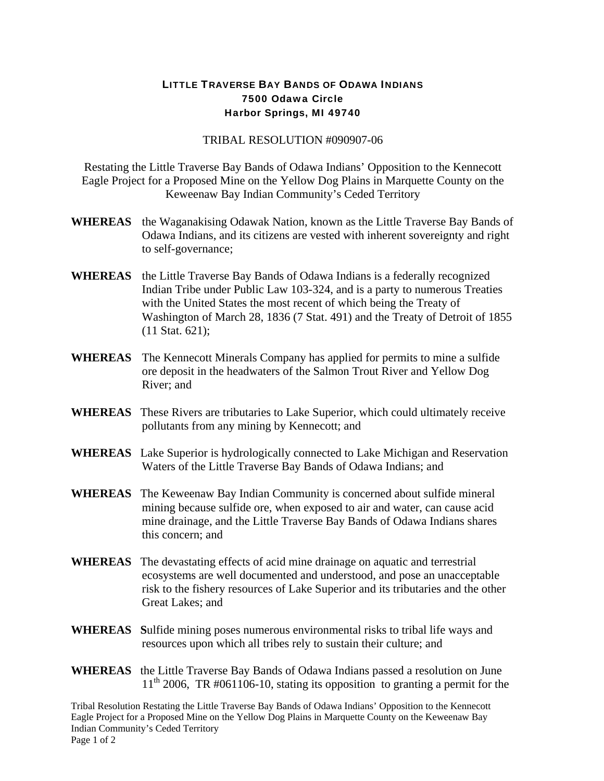## LITTLE TRAVERSE BAY BANDS OF ODAWA INDIANS 7500 Odawa Circle Harbor Springs, MI 49740

## TRIBAL RESOLUTION #090907-06

Restating the Little Traverse Bay Bands of Odawa Indians' Opposition to the Kennecott Eagle Project for a Proposed Mine on the Yellow Dog Plains in Marquette County on the Keweenaw Bay Indian Community's Ceded Territory

- **WHEREAS** the Waganakising Odawak Nation, known as the Little Traverse Bay Bands of Odawa Indians, and its citizens are vested with inherent sovereignty and right to self-governance;
- **WHEREAS** the Little Traverse Bay Bands of Odawa Indians is a federally recognized Indian Tribe under Public Law 103-324, and is a party to numerous Treaties with the United States the most recent of which being the Treaty of Washington of March 28, 1836 (7 Stat. 491) and the Treaty of Detroit of 1855 (11 Stat. 621);
- **WHEREAS** The Kennecott Minerals Company has applied for permits to mine a sulfide ore deposit in the headwaters of the Salmon Trout River and Yellow Dog River; and
- **WHEREAS** These Rivers are tributaries to Lake Superior, which could ultimately receive pollutants from any mining by Kennecott; and
- **WHEREAS** Lake Superior is hydrologically connected to Lake Michigan and Reservation Waters of the Little Traverse Bay Bands of Odawa Indians; and
- **WHEREAS** The Keweenaw Bay Indian Community is concerned about sulfide mineral mining because sulfide ore, when exposed to air and water, can cause acid mine drainage, and the Little Traverse Bay Bands of Odawa Indians shares this concern; and
- **WHEREAS** The devastating effects of acid mine drainage on aquatic and terrestrial ecosystems are well documented and understood, and pose an unacceptable risk to the fishery resources of Lake Superior and its tributaries and the other Great Lakes; and
- **WHEREAS S**ulfide mining poses numerous environmental risks to tribal life ways and resources upon which all tribes rely to sustain their culture; and
- **WHEREAS** the Little Traverse Bay Bands of Odawa Indians passed a resolution on June  $11<sup>th</sup>$  2006, TR #061106-10, stating its opposition to granting a permit for the

Tribal Resolution Restating the Little Traverse Bay Bands of Odawa Indians' Opposition to the Kennecott Eagle Project for a Proposed Mine on the Yellow Dog Plains in Marquette County on the Keweenaw Bay Indian Community's Ceded Territory Page 1 of 2